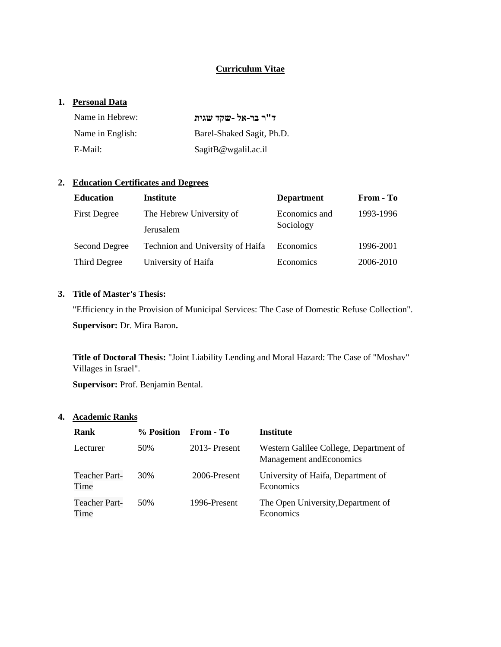### **Curriculum Vitae**

#### **1. Personal Data**

| Name in Hebrew:  | ד"ר בר-אל -שקד שגית        |
|------------------|----------------------------|
| Name in English: | Barel-Shaked Sagit, Ph.D.  |
| E-Mail:          | $S$ agit $B$ @wgalil.ac.il |

# **2. Education Certificates and Degrees**

| <b>Education</b>     | <b>Institute</b>                 | <b>Department</b>          | From - To |
|----------------------|----------------------------------|----------------------------|-----------|
| <b>First Degree</b>  | The Hebrew University of         | Economics and<br>1993-1996 |           |
|                      | Jerusalem                        | Sociology                  |           |
| <b>Second Degree</b> | Technion and University of Haifa | Economics                  | 1996-2001 |
| Third Degree         | University of Haifa              |                            | 2006-2010 |

## **3. Title of Master's Thesis:**

"Efficiency in the Provision of Municipal Services: The Case of Domestic Refuse Collection". **Supervisor:** Dr. Mira Baron**.**

**Title of Doctoral Thesis:** "Joint Liability Lending and Moral Hazard: The Case of "Moshav" Villages in Israel".

**Supervisor:** Prof. Benjamin Bental.

#### **4. Academic Ranks**

| Rank                         | % Position | From - To       | Institute                                                          |
|------------------------------|------------|-----------------|--------------------------------------------------------------------|
| Lecturer                     | 50%        | $2013$ -Present | Western Galilee College, Department of<br>Management and Economics |
| <b>Teacher Part-</b><br>Time | 30%        | 2006-Present    | University of Haifa, Department of<br>Economics                    |
| <b>Teacher Part-</b><br>Time | 50%        | 1996-Present    | The Open University, Department of<br>Economics                    |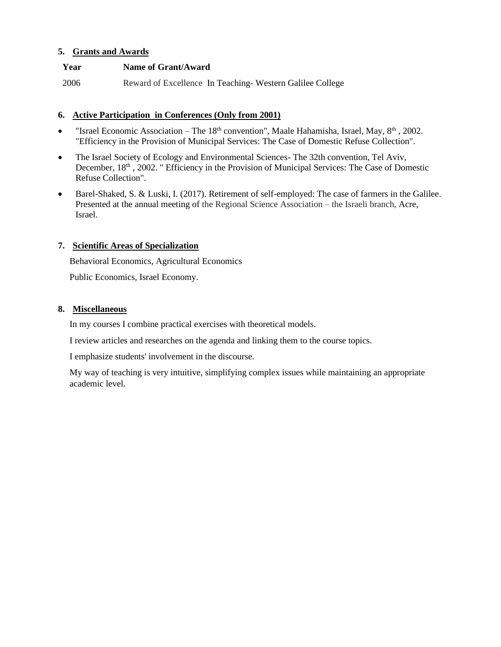### **5. Grants and Awards**

### **Year Name of Grant/Award**

2006 Reward of Excellence In Teaching- Western Galilee College

### **6. Active Participation in Conferences (Only from 2001)**

- "Israel Economic Association The  $18<sup>th</sup>$  convention", Maale Hahamisha, Israel, May,  $8<sup>th</sup>$ , 2002. "Efficiency in the Provision of Municipal Services: The Case of Domestic Refuse Collection".
- The Israel Society of Ecology and Environmental Sciences- The 32th convention, Tel Aviv, December, 18<sup>th</sup>, 2002. " Efficiency in the Provision of Municipal Services: The Case of Domestic Refuse Collection".
- Barel-Shaked, S. & Luski, I. (2017). Retirement of self-employed: The case of farmers in the Galilee. Presented at the annual meeting of the Regional Science Association – the Israeli branch, Acre, Israel.

### **7. Scientific Areas of Specialization**

Behavioral Economics, Agricultural Economics

Public Economics, Israel Economy.

### **8. Miscellaneous**

In my courses I combine practical exercises with theoretical models.

I review articles and researches on the agenda and linking them to the course topics.

I emphasize students' involvement in the discourse.

My way of teaching is very intuitive, simplifying complex issues while maintaining an appropriate academic level.